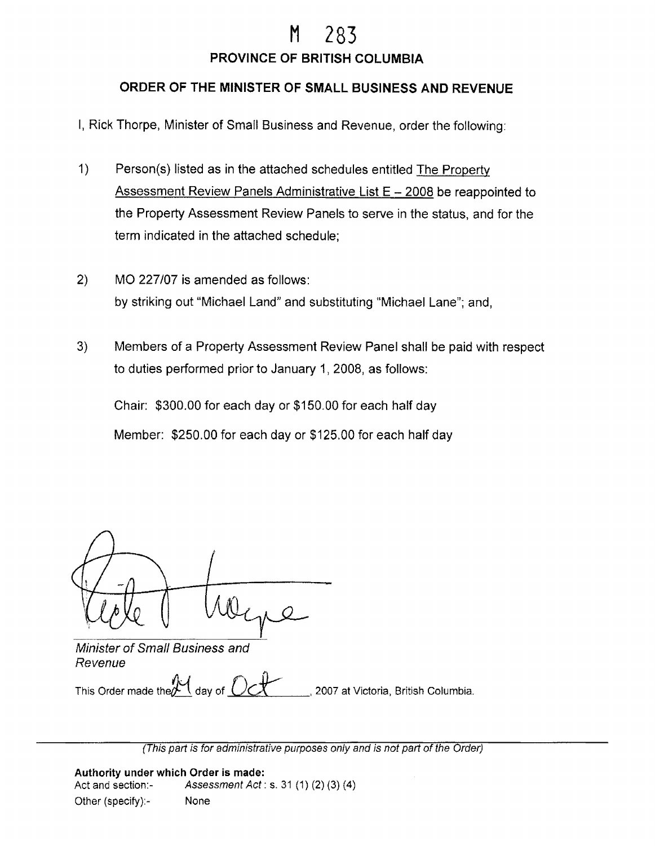## M 283

## **PROVINCE OF BRITISH COLUMBIA**

## **ORDER OF THE MINISTER OF SMALL BUSINESS AND REVENUE**

I, Rick Thorpe, Minister of Small Business and Revenue, order the following:

- 1) Person(s) listed as in the attached schedules entitled The Property Assessment Review Panels Administrative List  $E - 2008$  be reappointed to the Property Assessment Review Panels to serve in the status, and for the term indicated in the attached schedule;
- 2) MO 227/07 is amended as follows: by striking out "Michael Land" and substituting "Michael Lane"; and,
- 3) Members of a Property Assessment Review Panel shall be paid with respect to duties performed prior to January 1, 2008, **as** follows:

Chair: \$300.00 for each day or \$150.00 for each half day Member: \$250.00 for each day or \$125,00 for each half day

Minister of Small Business and Revenue

This Order made the day of  $Oct$ , 2007 at Victoria, British Columbia.

(This part is for administrative purposes only and is not part of the Order)

**Authority under which Order is made:**  Act and section:- Assessment Act: s. 31 (1) (2) (3) (4) Other (specify):- None